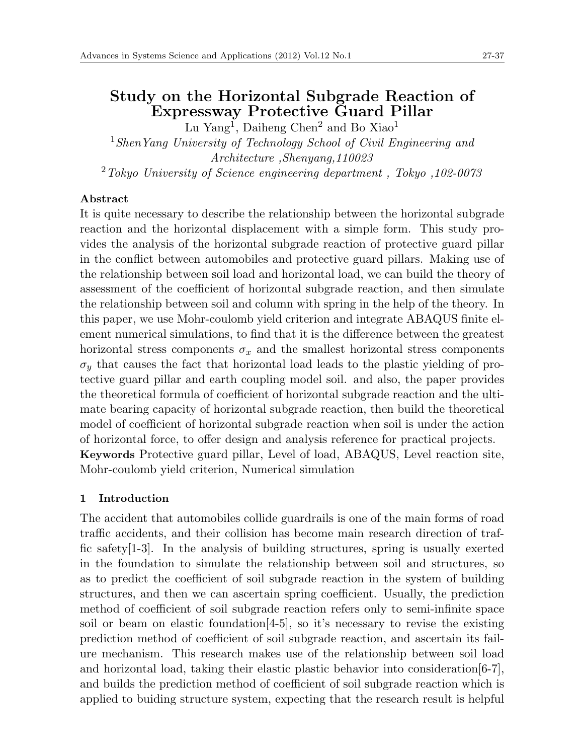# **Study on the Horizontal Subgrade Reaction of Expressway Protective Guard Pillar**

Lu Yang<sup>1</sup>, Daiheng Chen<sup>2</sup> and Bo Xiao<sup>1</sup> <sup>1</sup>*ShenYang University of Technology School of Civil Engineering and Architecture ,Shenyang,110023* <sup>2</sup>*Tokyo University of Science engineering department , Tokyo ,102-0073*

# **Abstract**

It is quite necessary to describe the relationship between the horizontal subgrade reaction and the horizontal displacement with a simple form. This study provides the analysis of the horizontal subgrade reaction of protective guard pillar in the conflict between automobiles and protective guard pillars. Making use of the relationship between soil load and horizontal load, we can build the theory of assessment of the coefficient of horizontal subgrade reaction, and then simulate the relationship between soil and column with spring in the help of the theory. In this paper, we use Mohr-coulomb yield criterion and integrate ABAQUS finite element numerical simulations, to find that it is the difference between the greatest horizontal stress components  $\sigma_x$  and the smallest horizontal stress components  $\sigma_y$  that causes the fact that horizontal load leads to the plastic yielding of protective guard pillar and earth coupling model soil. and also, the paper provides the theoretical formula of coefficient of horizontal subgrade reaction and the ultimate bearing capacity of horizontal subgrade reaction, then build the theoretical model of coefficient of horizontal subgrade reaction when soil is under the action of horizontal force, to offer design and analysis reference for practical projects. **Keywords** Protective guard pillar, Level of load, ABAQUS, Level reaction site, Mohr-coulomb yield criterion, Numerical simulation

## **1 Introduction**

The accident that automobiles collide guardrails is one of the main forms of road traffic accidents, and their collision has become main research direction of traffic safety[1-3]. In the analysis of building structures, spring is usually exerted in the foundation to simulate the relationship between soil and structures, so as to predict the coefficient of soil subgrade reaction in the system of building structures, and then we can ascertain spring coefficient. Usually, the prediction method of coefficient of soil subgrade reaction refers only to semi-infinite space soil or beam on elastic foundation[4-5], so it's necessary to revise the existing prediction method of coefficient of soil subgrade reaction, and ascertain its failure mechanism. This research makes use of the relationship between soil load and horizontal load, taking their elastic plastic behavior into consideration[6-7], and builds the prediction method of coefficient of soil subgrade reaction which is applied to buiding structure system, expecting that the research result is helpful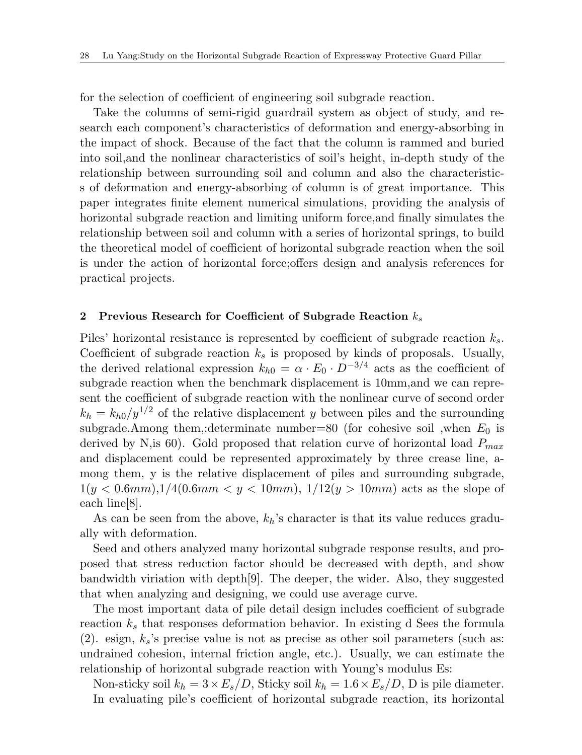for the selection of coefficient of engineering soil subgrade reaction.

Take the columns of semi-rigid guardrail system as object of study, and research each component's characteristics of deformation and energy-absorbing in the impact of shock. Because of the fact that the column is rammed and buried into soil,and the nonlinear characteristics of soil's height, in-depth study of the relationship between surrounding soil and column and also the characteristics of deformation and energy-absorbing of column is of great importance. This paper integrates finite element numerical simulations, providing the analysis of horizontal subgrade reaction and limiting uniform force,and finally simulates the relationship between soil and column with a series of horizontal springs, to build the theoretical model of coefficient of horizontal subgrade reaction when the soil is under the action of horizontal force;offers design and analysis references for practical projects.

#### **2 Previous Research for Coefficient of Subgrade Reaction** *k<sup>s</sup>*

Piles' horizontal resistance is represented by coefficient of subgrade reaction *ks*. Coefficient of subgrade reaction *k<sup>s</sup>* is proposed by kinds of proposals. Usually, the derived relational expression  $k_{h0} = \alpha \cdot E_0 \cdot D^{-3/4}$  acts as the coefficient of subgrade reaction when the benchmark displacement is 10mm,and we can represent the coefficient of subgrade reaction with the nonlinear curve of second order  $k_h = k_{h0}/y^{1/2}$  of the relative displacement *y* between piles and the surrounding subgrade.Among them,:determinate number=80 (for cohesive soil ,when *E*<sup>0</sup> is derived by N,is 60). Gold proposed that relation curve of horizontal load *Pmax* and displacement could be represented approximately by three crease line, among them, y is the relative displacement of piles and surrounding subgrade,  $1(y < 0.6mm)$ ,  $1/4(0.6mm < y < 10mm)$ ,  $1/12(y > 10mm)$  acts as the slope of each line[8].

As can be seen from the above, *kh*'s character is that its value reduces gradually with deformation.

Seed and others analyzed many horizontal subgrade response results, and proposed that stress reduction factor should be decreased with depth, and show bandwidth viriation with depth[9]. The deeper, the wider. Also, they suggested that when analyzing and designing, we could use average curve.

The most important data of pile detail design includes coefficient of subgrade reaction  $k<sub>s</sub>$  that responses deformation behavior. In existing d Sees the formula  $(2)$ . esign,  $k_s$ 's precise value is not as precise as other soil parameters (such as: undrained cohesion, internal friction angle, etc.). Usually, we can estimate the relationship of horizontal subgrade reaction with Young's modulus Es:

Non-sticky soil  $k_h = 3 \times E_s/D$ , Sticky soil  $k_h = 1.6 \times E_s/D$ , D is pile diameter. In evaluating pile's coefficient of horizontal subgrade reaction, its horizontal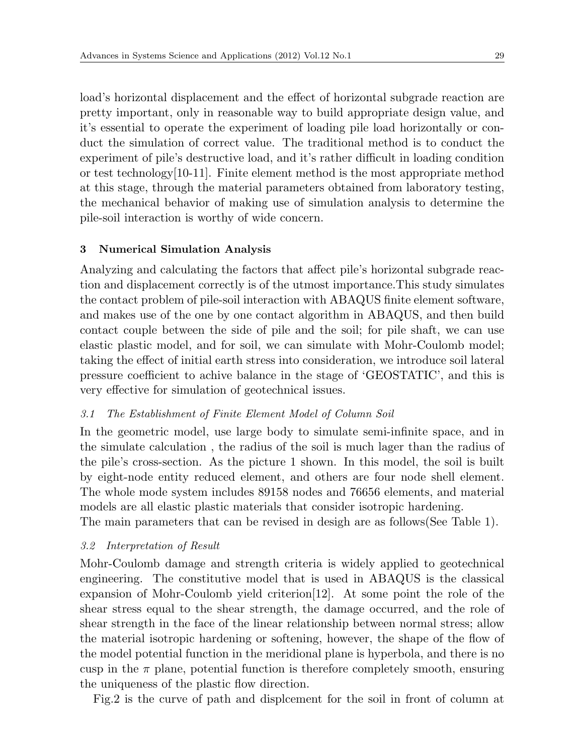load's horizontal displacement and the effect of horizontal subgrade reaction are pretty important, only in reasonable way to build appropriate design value, and it's essential to operate the experiment of loading pile load horizontally or conduct the simulation of correct value. The traditional method is to conduct the experiment of pile's destructive load, and it's rather difficult in loading condition or test technology[10-11]. Finite element method is the most appropriate method at this stage, through the material parameters obtained from laboratory testing, the mechanical behavior of making use of simulation analysis to determine the pile-soil interaction is worthy of wide concern.

# **3 Numerical Simulation Analysis**

Analyzing and calculating the factors that affect pile's horizontal subgrade reaction and displacement correctly is of the utmost importance.This study simulates the contact problem of pile-soil interaction with ABAQUS finite element software, and makes use of the one by one contact algorithm in ABAQUS, and then build contact couple between the side of pile and the soil; for pile shaft, we can use elastic plastic model, and for soil, we can simulate with Mohr-Coulomb model; taking the effect of initial earth stress into consideration, we introduce soil lateral pressure coefficient to achive balance in the stage of 'GEOSTATIC', and this is very effective for simulation of geotechnical issues.

# *3.1 The Establishment of Finite Element Model of Column Soil*

In the geometric model, use large body to simulate semi-infinite space, and in the simulate calculation , the radius of the soil is much lager than the radius of the pile's cross-section. As the picture 1 shown. In this model, the soil is built by eight-node entity reduced element, and others are four node shell element. The whole mode system includes 89158 nodes and 76656 elements, and material models are all elastic plastic materials that consider isotropic hardening.

The main parameters that can be revised in desigh are as follows(See Table 1).

# *3.2 Interpretation of Result*

Mohr-Coulomb damage and strength criteria is widely applied to geotechnical engineering. The constitutive model that is used in ABAQUS is the classical expansion of Mohr-Coulomb yield criterion[12]. At some point the role of the shear stress equal to the shear strength, the damage occurred, and the role of shear strength in the face of the linear relationship between normal stress; allow the material isotropic hardening or softening, however, the shape of the flow of the model potential function in the meridional plane is hyperbola, and there is no cusp in the  $\pi$  plane, potential function is therefore completely smooth, ensuring the uniqueness of the plastic flow direction.

Fig.2 is the curve of path and displcement for the soil in front of column at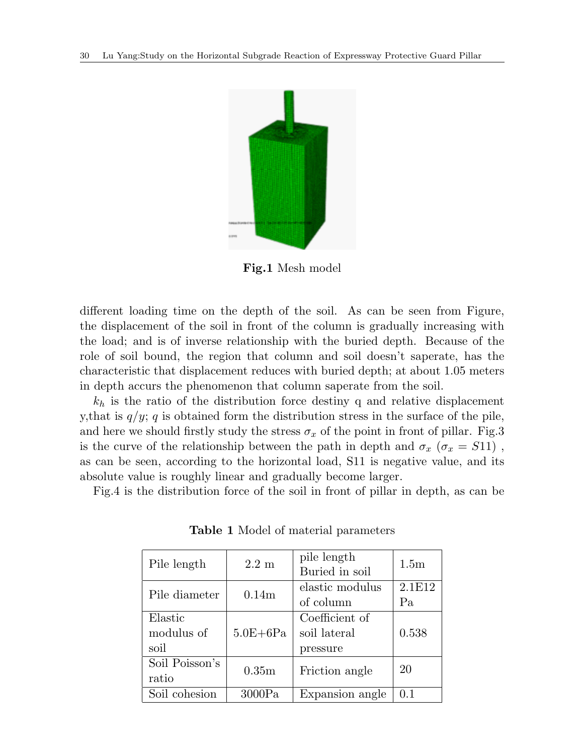

**Fig.1** Mesh model

different loading time on the depth of the soil. As can be seen from Figure, the displacement of the soil in front of the column is gradually increasing with the load; and is of inverse relationship with the buried depth. Because of the role of soil bound, the region that column and soil doesn't saperate, has the characteristic that displacement reduces with buried depth; at about 1.05 meters in depth accurs the phenomenon that column saperate from the soil.

 $k_h$  is the ratio of the distribution force destiny q and relative displacement y, that is  $q/y$ ; *q* is obtained form the distribution stress in the surface of the pile, and here we should firstly study the stress  $\sigma_x$  of the point in front of pillar. Fig.3 is the curve of the relationship between the path in depth and  $\sigma_x$  ( $\sigma_x$  = *S*11), as can be seen, according to the horizontal load, S11 is negative value, and its absolute value is roughly linear and gradually become larger.

Fig.4 is the distribution force of the soil in front of pillar in depth, as can be

| Pile length                   | $2.2 \text{ m}$   | pile length<br>Buried in soil              | 1.5 <sub>m</sub> |
|-------------------------------|-------------------|--------------------------------------------|------------------|
| Pile diameter                 | 0.14m             | elastic modulus<br>of column               | 2.1E12<br>Pa     |
| Elastic<br>modulus of<br>soil | $5.0E + 6Pa$      | Coefficient of<br>soil lateral<br>pressure | 0.538            |
| Soil Poisson's<br>ratio       | 0.35 <sub>m</sub> | Friction angle                             | 20               |
| Soil cohesion                 | 3000Pa            | Expansion angle                            | 0.1              |

**Table 1** Model of material parameters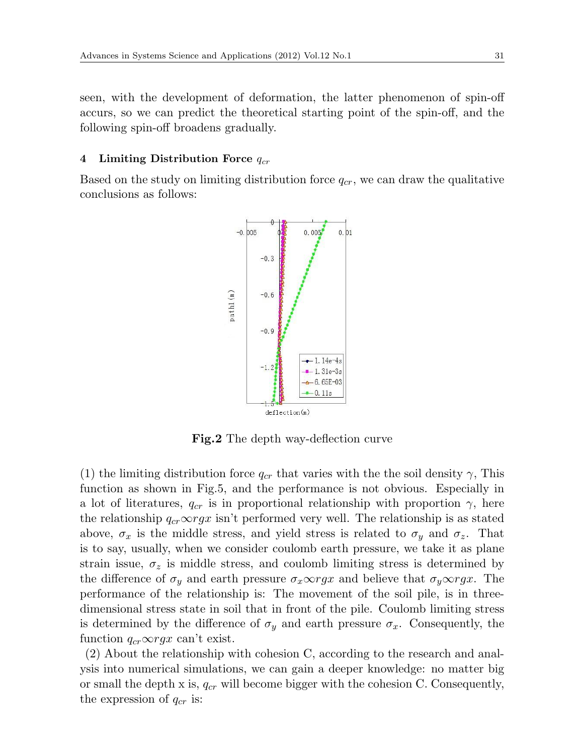seen, with the development of deformation, the latter phenomenon of spin-off accurs, so we can predict the theoretical starting point of the spin-off, and the following spin-off broadens gradually.

# **4 Limiting Distribution Force** *qcr*

Based on the study on limiting distribution force *qcr*, we can draw the qualitative conclusions as follows:



**Fig.2** The depth way-deflection curve

(1) the limiting distribution force  $q_{cr}$  that varies with the the soil density  $\gamma$ , This function as shown in Fig.5, and the performance is not obvious. Especially in a lot of literatures,  $q_{cr}$  is in proportional relationship with proportion  $\gamma$ , here the relationship  $q_{cr} \infty rgx$  isn't performed very well. The relationship is as stated above,  $\sigma_x$  is the middle stress, and yield stress is related to  $\sigma_y$  and  $\sigma_z$ . That is to say, usually, when we consider coulomb earth pressure, we take it as plane strain issue,  $\sigma_z$  is middle stress, and coulomb limiting stress is determined by the difference of  $\sigma_y$  and earth pressure  $\sigma_x \infty$ *rgx* and believe that  $\sigma_y \infty$ *rgx*. The performance of the relationship is: The movement of the soil pile, is in threedimensional stress state in soil that in front of the pile. Coulomb limiting stress is determined by the difference of  $\sigma_y$  and earth pressure  $\sigma_x$ . Consequently, the function  $q_{cr} \infty rgx$  can't exist.

(2) About the relationship with cohesion C, according to the research and analysis into numerical simulations, we can gain a deeper knowledge: no matter big or small the depth x is, *qcr* will become bigger with the cohesion C. Consequently, the expression of *qcr* is: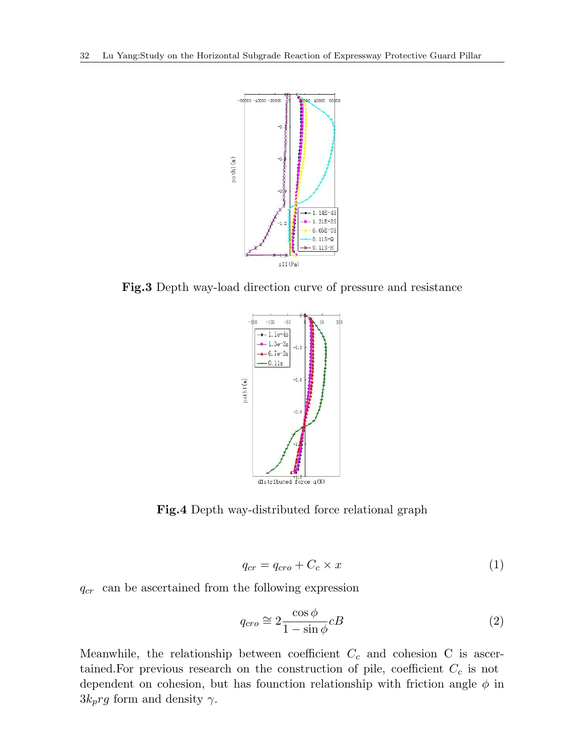

**Fig.3** Depth way-load direction curve of pressure and resistance



**Fig.4** Depth way-distributed force relational graph

$$
q_{cr} = q_{cro} + C_c \times x \tag{1}
$$

*qcr* can be ascertained from the following expression

$$
q_{cro} \cong 2 \frac{\cos \phi}{1 - \sin \phi} cB \tag{2}
$$

Meanwhile, the relationship between coefficient *C<sup>c</sup>* and cohesion C is ascertained.For previous research on the construction of pile, coefficient *C<sup>c</sup>* is not dependent on cohesion, but has founction relationship with friction angle  $\phi$  in  $3k_prg$  form and density  $\gamma$ .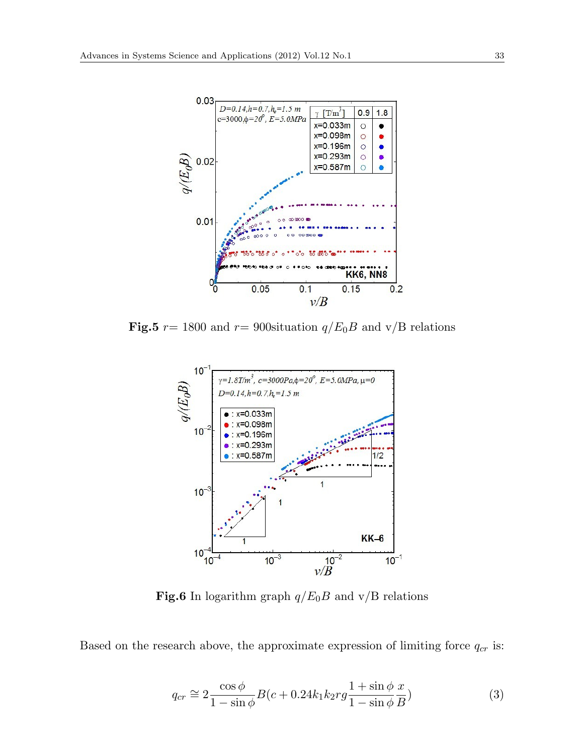

**Fig.5**  $r = 1800$  and  $r = 900$ situation  $q/E_0B$  and v/B relations



**Fig.6** In logarithm graph  $q/E_0B$  and v/B relations

Based on the research above, the approximate expression of limiting force *qcr* is:

$$
q_{cr} \cong 2 \frac{\cos \phi}{1 - \sin \phi} B(c + 0.24k_1 k_2 r g \frac{1 + \sin \phi}{1 - \sin \phi} \frac{x}{B})
$$
\n(3)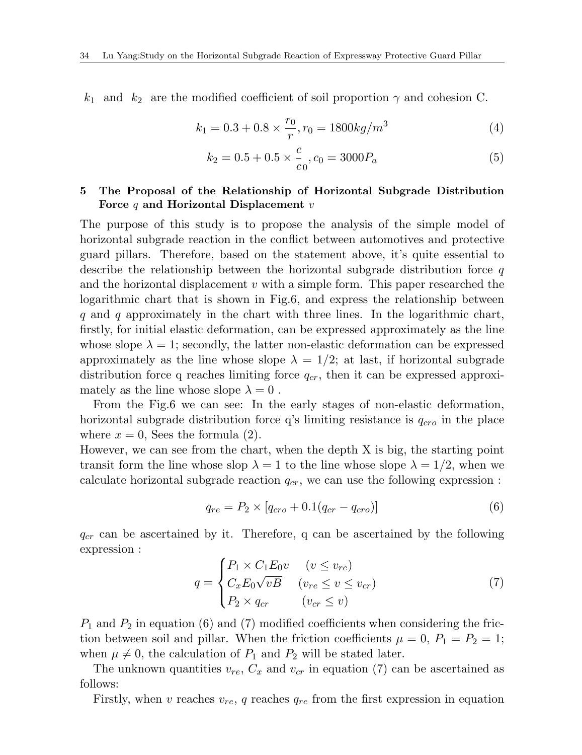$k_1$  and  $k_2$  are the modified coefficient of soil proportion  $\gamma$  and cohesion C.

$$
k_1 = 0.3 + 0.8 \times \frac{r_0}{r}, r_0 = 1800 \, kg/m^3 \tag{4}
$$

$$
k_2 = 0.5 + 0.5 \times \frac{c}{c_0}, c_0 = 3000P_a \tag{5}
$$

# **5 The Proposal of the Relationship of Horizontal Subgrade Distribution Force** *q* **and Horizontal Displacement** *v*

The purpose of this study is to propose the analysis of the simple model of horizontal subgrade reaction in the conflict between automotives and protective guard pillars. Therefore, based on the statement above, it's quite essential to describe the relationship between the horizontal subgrade distribution force *q* and the horizontal displacement *v* with a simple form. This paper researched the logarithmic chart that is shown in Fig.6, and express the relationship between *q* and *q* approximately in the chart with three lines. In the logarithmic chart, firstly, for initial elastic deformation, can be expressed approximately as the line whose slope  $\lambda = 1$ ; secondly, the latter non-elastic deformation can be expressed approximately as the line whose slope  $\lambda = 1/2$ ; at last, if horizontal subgrade distribution force q reaches limiting force *qcr*, then it can be expressed approximately as the line whose slope  $\lambda = 0$ .

From the Fig.6 we can see: In the early stages of non-elastic deformation, horizontal subgrade distribution force q's limiting resistance is *qcro* in the place where  $x = 0$ , Sees the formula (2).

However, we can see from the chart, when the depth X is big, the starting point transit form the line whose slop  $\lambda = 1$  to the line whose slope  $\lambda = 1/2$ , when we calculate horizontal subgrade reaction *qcr*, we can use the following expression :

$$
q_{re} = P_2 \times [q_{cro} + 0.1(q_{cr} - q_{cro})]
$$
\n(6)

*qcr* can be ascertained by it. Therefore, q can be ascertained by the following expression :

$$
q = \begin{cases} P_1 \times C_1 E_0 v & (v \le v_{re}) \\ C_x E_0 \sqrt{vB} & (v_{re} \le v \le v_{cr}) \\ P_2 \times q_{cr} & (v_{cr} \le v) \end{cases}
$$
(7)

*P*<sup>1</sup> and *P*<sup>2</sup> in equation (6) and (7) modified coefficients when considering the friction between soil and pillar. When the friction coefficients  $\mu = 0$ ,  $P_1 = P_2 = 1$ ; when  $\mu \neq 0$ , the calculation of  $P_1$  and  $P_2$  will be stated later.

The unknown quantities  $v_{re}$ ,  $C_x$  and  $v_{cr}$  in equation (7) can be ascertained as follows:

Firstly, when *v* reaches  $v_{re}$ , *q* reaches  $q_{re}$  from the first expression in equation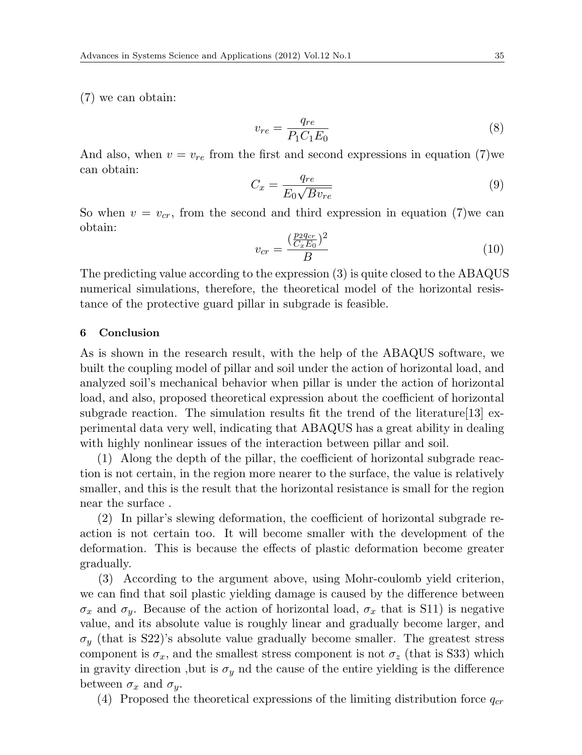(7) we can obtain:

$$
v_{re} = \frac{q_{re}}{P_1 C_1 E_0} \tag{8}
$$

And also, when  $v = v_{re}$  from the first and second expressions in equation (7)we can obtain:

$$
C_x = \frac{q_{re}}{E_0 \sqrt{B v_{re}}}
$$
\n<sup>(9)</sup>

So when  $v = v_{cr}$ , from the second and third expression in equation (7) we can obtain:

$$
v_{cr} = \frac{(\frac{p_2 q_{cr}}{C_x E_0})^2}{B} \tag{10}
$$

The predicting value according to the expression (3) is quite closed to the ABAQUS numerical simulations, therefore, the theoretical model of the horizontal resistance of the protective guard pillar in subgrade is feasible.

## **6 Conclusion**

As is shown in the research result, with the help of the ABAQUS software, we built the coupling model of pillar and soil under the action of horizontal load, and analyzed soil's mechanical behavior when pillar is under the action of horizontal load, and also, proposed theoretical expression about the coefficient of horizontal subgrade reaction. The simulation results fit the trend of the literature  $[13]$  experimental data very well, indicating that ABAQUS has a great ability in dealing with highly nonlinear issues of the interaction between pillar and soil.

(1) Along the depth of the pillar, the coefficient of horizontal subgrade reaction is not certain, in the region more nearer to the surface, the value is relatively smaller, and this is the result that the horizontal resistance is small for the region near the surface .

(2) In pillar's slewing deformation, the coefficient of horizontal subgrade reaction is not certain too. It will become smaller with the development of the deformation. This is because the effects of plastic deformation become greater gradually.

(3) According to the argument above, using Mohr-coulomb yield criterion, we can find that soil plastic yielding damage is caused by the difference between *σx* and *σ*<sup>*y*</sup>. Because of the action of horizontal load, *σ*<sub>*x*</sub> that is S11) is negative value, and its absolute value is roughly linear and gradually become larger, and  $\sigma_y$  (that is S22)'s absolute value gradually become smaller. The greatest stress component is  $\sigma_x$ , and the smallest stress component is not  $\sigma_z$  (that is S33) which in gravity direction, but is  $\sigma_y$  nd the cause of the entire yielding is the difference between  $\sigma_x$  and  $\sigma_y$ .

(4) Proposed the theoretical expressions of the limiting distribution force  $q_{cr}$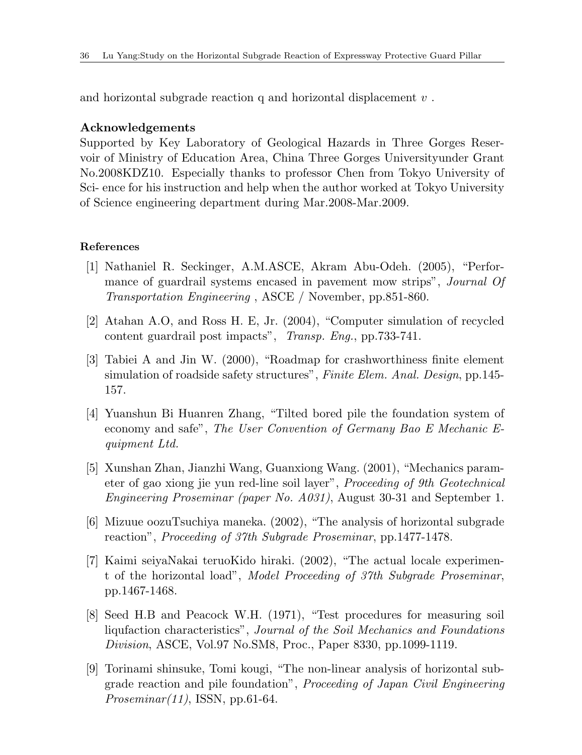and horizontal subgrade reaction q and horizontal displacement *v* .

### **Acknowledgements**

Supported by Key Laboratory of Geological Hazards in Three Gorges Reservoir of Ministry of Education Area, China Three Gorges Universityunder Grant No.2008KDZ10. Especially thanks to professor Chen from Tokyo University of Sci- ence for his instruction and help when the author worked at Tokyo University of Science engineering department during Mar.2008-Mar.2009.

### **References**

- [1] Nathaniel R. Seckinger, A.M.ASCE, Akram Abu-Odeh. (2005), "Performance of guardrail systems encased in pavement mow strips", *Journal Of Transportation Engineering* , ASCE / November, pp.851-860.
- [2] Atahan A.O, and Ross H. E, Jr. (2004), "Computer simulation of recycled content guardrail post impacts", *Transp. Eng.*, pp.733-741.
- [3] Tabiei A and Jin W. (2000), "Roadmap for crashworthiness finite element simulation of roadside safety structures", *Finite Elem. Anal. Design*, pp.145- 157.
- [4] Yuanshun Bi Huanren Zhang, "Tilted bored pile the foundation system of economy and safe", *The User Convention of Germany Bao E Mechanic Equipment Ltd.*
- [5] Xunshan Zhan, Jianzhi Wang, Guanxiong Wang. (2001), "Mechanics parameter of gao xiong jie yun red-line soil layer", *Proceeding of 9th Geotechnical Engineering Proseminar (paper No. A031)*, August 30-31 and September 1.
- [6] Mizuue oozuTsuchiya maneka. (2002), "The analysis of horizontal subgrade reaction", *Proceeding of 37th Subgrade Proseminar*, pp.1477-1478.
- [7] Kaimi seiyaNakai teruoKido hiraki. (2002), "The actual locale experiment of the horizontal load", *Model Proceeding of 37th Subgrade Proseminar*, pp.1467-1468.
- [8] Seed H.B and Peacock W.H. (1971), "Test procedures for measuring soil liqufaction characteristics", *Journal of the Soil Mechanics and Foundations Division*, ASCE, Vol.97 No.SM8, Proc., Paper 8330, pp.1099-1119.
- [9] Torinami shinsuke, Tomi kougi, "The non-linear analysis of horizontal subgrade reaction and pile foundation", *Proceeding of Japan Civil Engineering Proseminar(11)*, ISSN, pp.61-64.